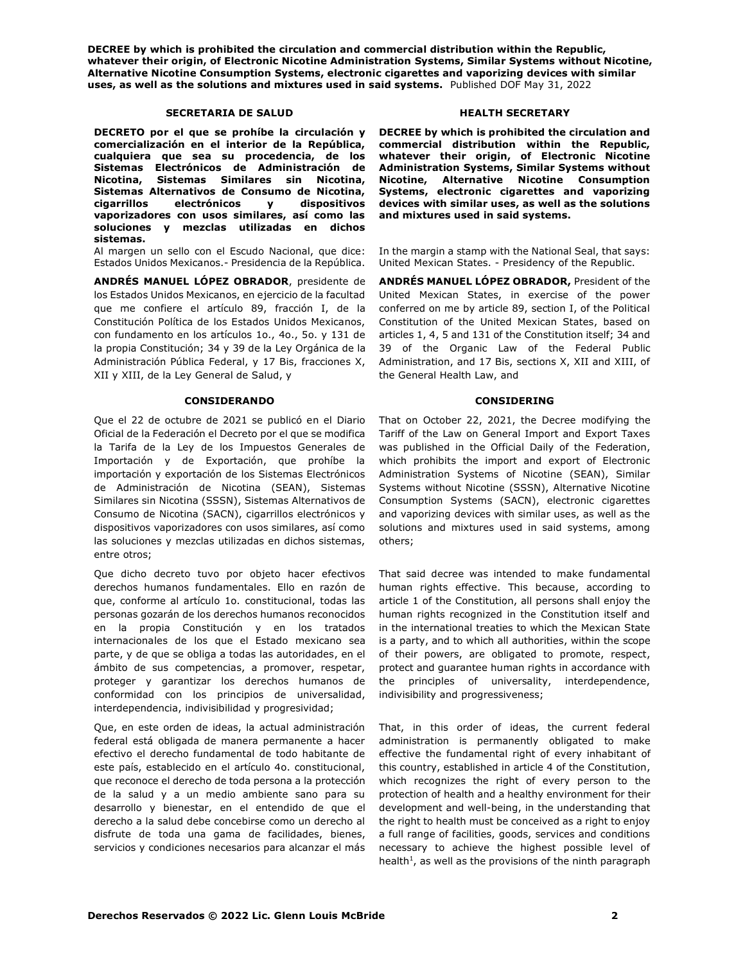# **SECRETARIA DE SALUD HEALTH SECRETARY**

**DECRETO por el que se prohíbe la circulación y comercialización en el interior de la República, cualquiera que sea su procedencia, de los Sistemas Electrónicos de Administración de Nicotina, Sistemas Similares sin Nicotina, Sistemas Alternativos de Consumo de Nicotina, cigarrillos electrónicos y dispositivos vaporizadores con usos similares, así como las soluciones y mezclas utilizadas en dichos sistemas.**

Al margen un sello con el Escudo Nacional, que dice: Estados Unidos Mexicanos.- Presidencia de la República.

**ANDRÉS MANUEL LÓPEZ OBRADOR**, presidente de los Estados Unidos Mexicanos, en ejercicio de la facultad que me confiere el artículo 89, fracción I, de la Constitución Política de los Estados Unidos Mexicanos, con fundamento en los artículos 1o., 4o., 5o. y 131 de la propia Constitución; 34 y 39 de la Ley Orgánica de la Administración Pública Federal, y 17 Bis, fracciones X, XII y XIII, de la Ley General de Salud, y

### **CONSIDERANDO CONSIDERING**

Que el 22 de octubre de 2021 se publicó en el Diario Oficial de la Federación el Decreto por el que se modifica la Tarifa de la Ley de los Impuestos Generales de Importación y de Exportación, que prohíbe la importación y exportación de los Sistemas Electrónicos de Administración de Nicotina (SEAN), Sistemas Similares sin Nicotina (SSSN), Sistemas Alternativos de Consumo de Nicotina (SACN), cigarrillos electrónicos y dispositivos vaporizadores con usos similares, así como las soluciones y mezclas utilizadas en dichos sistemas, entre otros;

Que dicho decreto tuvo por objeto hacer efectivos derechos humanos fundamentales. Ello en razón de que, conforme al artículo 1o. constitucional, todas las personas gozarán de los derechos humanos reconocidos en la propia Constitución y en los tratados internacionales de los que el Estado mexicano sea parte, y de que se obliga a todas las autoridades, en el ámbito de sus competencias, a promover, respetar, proteger y garantizar los derechos humanos de conformidad con los principios de universalidad, interdependencia, indivisibilidad y progresividad;

Que, en este orden de ideas, la actual administración federal está obligada de manera permanente a hacer efectivo el derecho fundamental de todo habitante de este país, establecido en el artículo 4o. constitucional, que reconoce el derecho de toda persona a la protección de la salud y a un medio ambiente sano para su desarrollo y bienestar, en el entendido de que el derecho a la salud debe concebirse como un derecho al disfrute de toda una gama de facilidades, bienes, servicios y condiciones necesarios para alcanzar el más

**DECREE by which is prohibited the circulation and commercial distribution within the Republic, whatever their origin, of Electronic Nicotine Administration Systems, Similar Systems without Nicotine, Alternative Nicotine Consumption Systems, electronic cigarettes and vaporizing devices with similar uses, as well as the solutions and mixtures used in said systems.**

In the margin a stamp with the National Seal, that says: United Mexican States. - Presidency of the Republic.

**ANDRÉS MANUEL LÓPEZ OBRADOR,** President of the United Mexican States, in exercise of the power conferred on me by article 89, section I, of the Political Constitution of the United Mexican States, based on articles 1, 4, 5 and 131 of the Constitution itself; 34 and 39 of the Organic Law of the Federal Public Administration, and 17 Bis, sections X, XII and XIII, of the General Health Law, and

That on October 22, 2021, the Decree modifying the Tariff of the Law on General Import and Export Taxes was published in the Official Daily of the Federation, which prohibits the import and export of Electronic Administration Systems of Nicotine (SEAN), Similar Systems without Nicotine (SSSN), Alternative Nicotine Consumption Systems (SACN), electronic cigarettes and vaporizing devices with similar uses, as well as the solutions and mixtures used in said systems, among others;

That said decree was intended to make fundamental human rights effective. This because, according to article 1 of the Constitution, all persons shall enjoy the human rights recognized in the Constitution itself and in the international treaties to which the Mexican State is a party, and to which all authorities, within the scope of their powers, are obligated to promote, respect, protect and guarantee human rights in accordance with the principles of universality, interdependence, indivisibility and progressiveness;

That, in this order of ideas, the current federal administration is permanently obligated to make effective the fundamental right of every inhabitant of this country, established in article 4 of the Constitution, which recognizes the right of every person to the protection of health and a healthy environment for their development and well-being, in the understanding that the right to health must be conceived as a right to enjoy a full range of facilities, goods, services and conditions necessary to achieve the highest possible level of health $<sup>1</sup>$ , as well as the provisions of the ninth paragraph</sup>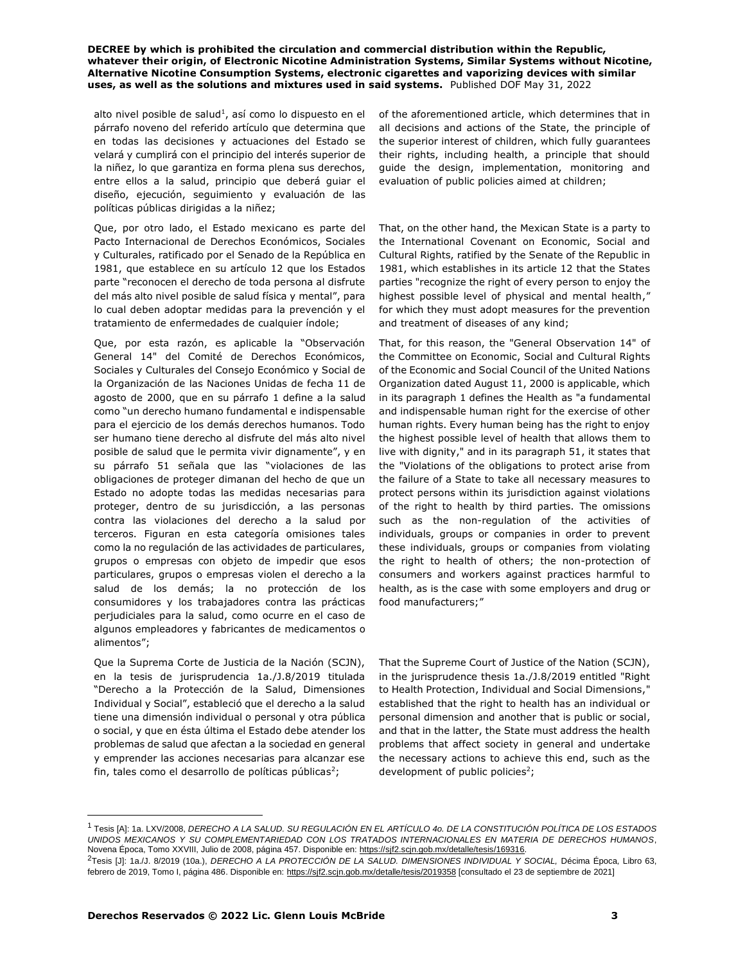alto nivel posible de salud<sup>1</sup>, así como lo dispuesto en el párrafo noveno del referido artículo que determina que en todas las decisiones y actuaciones del Estado se velará y cumplirá con el principio del interés superior de la niñez, lo que garantiza en forma plena sus derechos, entre ellos a la salud, principio que deberá guiar el diseño, ejecución, seguimiento y evaluación de las políticas públicas dirigidas a la niñez;

Que, por otro lado, el Estado mexicano es parte del Pacto Internacional de Derechos Económicos, Sociales y Culturales, ratificado por el Senado de la República en 1981, que establece en su artículo 12 que los Estados parte "reconocen el derecho de toda persona al disfrute del más alto nivel posible de salud física y mental", para lo cual deben adoptar medidas para la prevención y el tratamiento de enfermedades de cualquier índole;

Que, por esta razón, es aplicable la "Observación General 14" del Comité de Derechos Económicos, Sociales y Culturales del Consejo Económico y Social de la Organización de las Naciones Unidas de fecha 11 de agosto de 2000, que en su párrafo 1 define a la salud como "un derecho humano fundamental e indispensable para el ejercicio de los demás derechos humanos. Todo ser humano tiene derecho al disfrute del más alto nivel posible de salud que le permita vivir dignamente", y en su párrafo 51 señala que las "violaciones de las obligaciones de proteger dimanan del hecho de que un Estado no adopte todas las medidas necesarias para proteger, dentro de su jurisdicción, a las personas contra las violaciones del derecho a la salud por terceros. Figuran en esta categoría omisiones tales como la no regulación de las actividades de particulares, grupos o empresas con objeto de impedir que esos particulares, grupos o empresas violen el derecho a la salud de los demás; la no protección de los consumidores y los trabajadores contra las prácticas perjudiciales para la salud, como ocurre en el caso de algunos empleadores y fabricantes de medicamentos o alimentos";

Que la Suprema Corte de Justicia de la Nación (SCJN), en la tesis de jurisprudencia 1a./J.8/2019 titulada "Derecho a la Protección de la Salud, Dimensiones Individual y Social", estableció que el derecho a la salud tiene una dimensión individual o personal y otra pública o social, y que en ésta última el Estado debe atender los problemas de salud que afectan a la sociedad en general y emprender las acciones necesarias para alcanzar ese fin, tales como el desarrollo de políticas públicas<sup>2</sup>;

of the aforementioned article, which determines that in all decisions and actions of the State, the principle of the superior interest of children, which fully guarantees their rights, including health, a principle that should guide the design, implementation, monitoring and evaluation of public policies aimed at children;

That, on the other hand, the Mexican State is a party to the International Covenant on Economic, Social and Cultural Rights, ratified by the Senate of the Republic in 1981, which establishes in its article 12 that the States parties "recognize the right of every person to enjoy the highest possible level of physical and mental health," for which they must adopt measures for the prevention and treatment of diseases of any kind;

That, for this reason, the "General Observation 14" of the Committee on Economic, Social and Cultural Rights of the Economic and Social Council of the United Nations Organization dated August 11, 2000 is applicable, which in its paragraph 1 defines the Health as "a fundamental and indispensable human right for the exercise of other human rights. Every human being has the right to enjoy the highest possible level of health that allows them to live with dignity," and in its paragraph 51, it states that the "Violations of the obligations to protect arise from the failure of a State to take all necessary measures to protect persons within its jurisdiction against violations of the right to health by third parties. The omissions such as the non-regulation of the activities of individuals, groups or companies in order to prevent these individuals, groups or companies from violating the right to health of others; the non-protection of consumers and workers against practices harmful to health, as is the case with some employers and drug or food manufacturers;"

That the Supreme Court of Justice of the Nation (SCJN), in the jurisprudence thesis 1a./J.8/2019 entitled "Right to Health Protection, Individual and Social Dimensions," established that the right to health has an individual or personal dimension and another that is public or social, and that in the latter, the State must address the health problems that affect society in general and undertake the necessary actions to achieve this end, such as the development of public policies<sup>2</sup>;

<sup>1</sup> Tesis [A]: 1a. LXV/2008, *DERECHO A LA SALUD. SU REGULACIÓN EN EL ARTÍCULO 4o. DE LA CONSTITUCIÓN POLÍTICA DE LOS ESTADOS UNIDOS MEXICANOS Y SU COMPLEMENTARIEDAD CON LOS TRATADOS INTERNACIONALES EN MATERIA DE DERECHOS HUMANOS*, Novena Época, Tomo XXVIII, Julio de 2008, página 457. Disponible en: https://sjf2.scjn.gob.mx/detalle/tesis/169316.

<sup>2</sup>Tesis [J]: 1a./J. 8/2019 (10a.), *DERECHO A LA PROTECCIÓN DE LA SALUD. DIMENSIONES INDIVIDUAL Y SOCIAL,* Décima Época*,* Libro 63, febrero de 2019, Tomo I, página 486. Disponible en: https://sjf2.scjn.gob.mx/detalle/tesis/2019358 [consultado el 23 de septiembre de 2021]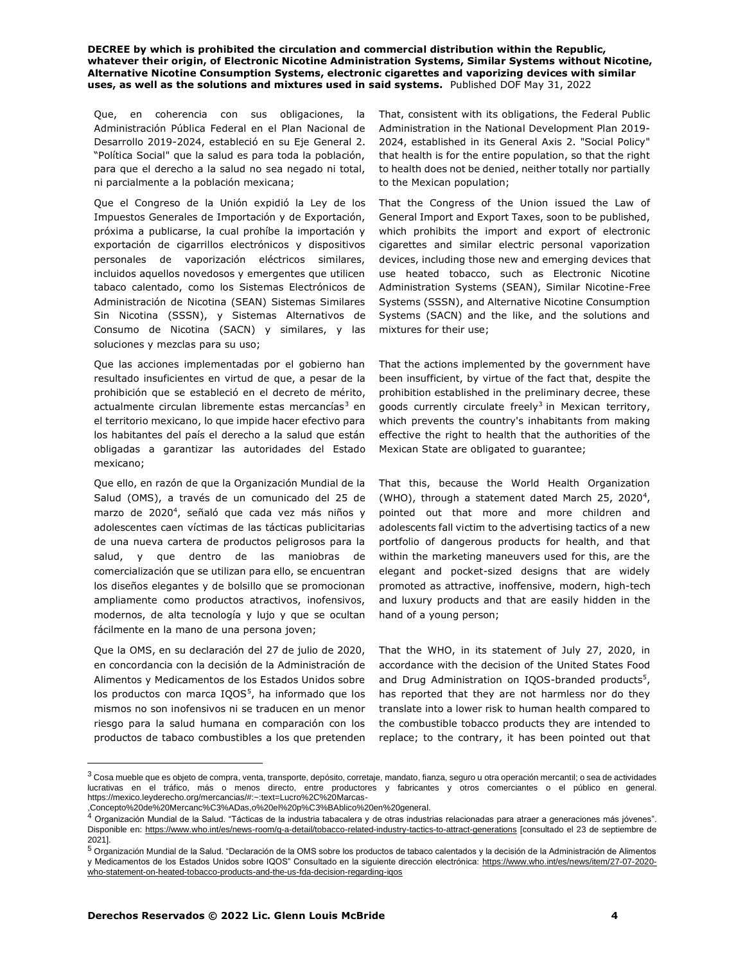Que, en coherencia con sus obligaciones, la Administración Pública Federal en el Plan Nacional de Desarrollo 2019-2024, estableció en su Eje General 2. "Política Social" que la salud es para toda la población, para que el derecho a la salud no sea negado ni total, ni parcialmente a la población mexicana;

Que el Congreso de la Unión expidió la Ley de los Impuestos Generales de Importación y de Exportación, próxima a publicarse, la cual prohíbe la importación y exportación de cigarrillos electrónicos y dispositivos personales de vaporización eléctricos similares, incluidos aquellos novedosos y emergentes que utilicen tabaco calentado, como los Sistemas Electrónicos de Administración de Nicotina (SEAN) Sistemas Similares Sin Nicotina (SSSN), y Sistemas Alternativos de Consumo de Nicotina (SACN) y similares, y las soluciones y mezclas para su uso;

Que las acciones implementadas por el gobierno han resultado insuficientes en virtud de que, a pesar de la prohibición que se estableció en el decreto de mérito, actualmente circulan libremente estas mercancías<sup>3</sup> en el territorio mexicano, lo que impide hacer efectivo para los habitantes del país el derecho a la salud que están obligadas a garantizar las autoridades del Estado mexicano;

Que ello, en razón de que la Organización Mundial de la Salud (OMS), a través de un comunicado del 25 de marzo de 2020<sup>4</sup>, señaló que cada vez más niños y adolescentes caen víctimas de las tácticas publicitarias de una nueva cartera de productos peligrosos para la salud, y que dentro de las maniobras de comercialización que se utilizan para ello, se encuentran los diseños elegantes y de bolsillo que se promocionan ampliamente como productos atractivos, inofensivos, modernos, de alta tecnología y lujo y que se ocultan fácilmente en la mano de una persona joven;

Que la OMS, en su declaración del 27 de julio de 2020, en concordancia con la decisión de la Administración de Alimentos y Medicamentos de los Estados Unidos sobre los productos con marca IQOS<sup>5</sup>, ha informado que los mismos no son inofensivos ni se traducen en un menor riesgo para la salud humana en comparación con los productos de tabaco combustibles a los que pretenden

That, consistent with its obligations, the Federal Public Administration in the National Development Plan 2019- 2024, established in its General Axis 2. "Social Policy" that health is for the entire population, so that the right to health does not be denied, neither totally nor partially to the Mexican population;

That the Congress of the Union issued the Law of General Import and Export Taxes, soon to be published, which prohibits the import and export of electronic cigarettes and similar electric personal vaporization devices, including those new and emerging devices that use heated tobacco, such as Electronic Nicotine Administration Systems (SEAN), Similar Nicotine-Free Systems (SSSN), and Alternative Nicotine Consumption Systems (SACN) and the like, and the solutions and mixtures for their use;

That the actions implemented by the government have been insufficient, by virtue of the fact that, despite the prohibition established in the preliminary decree, these goods currently circulate freely<sup>3</sup> in Mexican territory, which prevents the country's inhabitants from making effective the right to health that the authorities of the Mexican State are obligated to guarantee;

That this, because the World Health Organization (WHO), through a statement dated March 25, 2020<sup>4</sup>, pointed out that more and more children and adolescents fall victim to the advertising tactics of a new portfolio of dangerous products for health, and that within the marketing maneuvers used for this, are the elegant and pocket-sized designs that are widely promoted as attractive, inoffensive, modern, high-tech and luxury products and that are easily hidden in the hand of a young person;

That the WHO, in its statement of July 27, 2020, in accordance with the decision of the United States Food and Drug Administration on IQOS-branded products<sup>5</sup>, has reported that they are not harmless nor do they translate into a lower risk to human health compared to the combustible tobacco products they are intended to replace; to the contrary, it has been pointed out that

 $^3$  Cosa mueble que es objeto de compra, venta, transporte, depósito, corretaje, mandato, fianza, seguro u otra operación mercantil; o sea de actividades lucrativas en el tráfico, más o menos directo, entre productores y fabricantes y otros comerciantes o el público en general. https://mexico.leyderecho.org/mercancias/#:~:text=Lucro%2C%20Marcas-

<sup>,</sup>Concepto%20de%20Mercanc%C3%ADas,o%20el%20p%C3%BAblico%20en%20general.

 $^4$  Organización Mundial de la Salud. "Tácticas de la industria tabacalera y de otras industrias relacionadas para atraer a generaciones más jóvenes". Disponible en: https://www.who.int/es/news-room/q-a-detail/tobacco-related-industry-tactics-to-attract-generations [consultado el 23 de septiembre de 2021].

 $5$  Organización Mundial de la Salud. "Declaración de la OMS sobre los productos de tabaco calentados y la decisión de la Administración de Alimentos y Medicamentos de los Estados Unidos sobre IQOS" Consultado en la siguiente dirección electrónica: https://www.who.int/es/news/item/27-07-2020 who-statement-on-heated-tobacco-products-and-the-us-fda-decision-regarding-iqos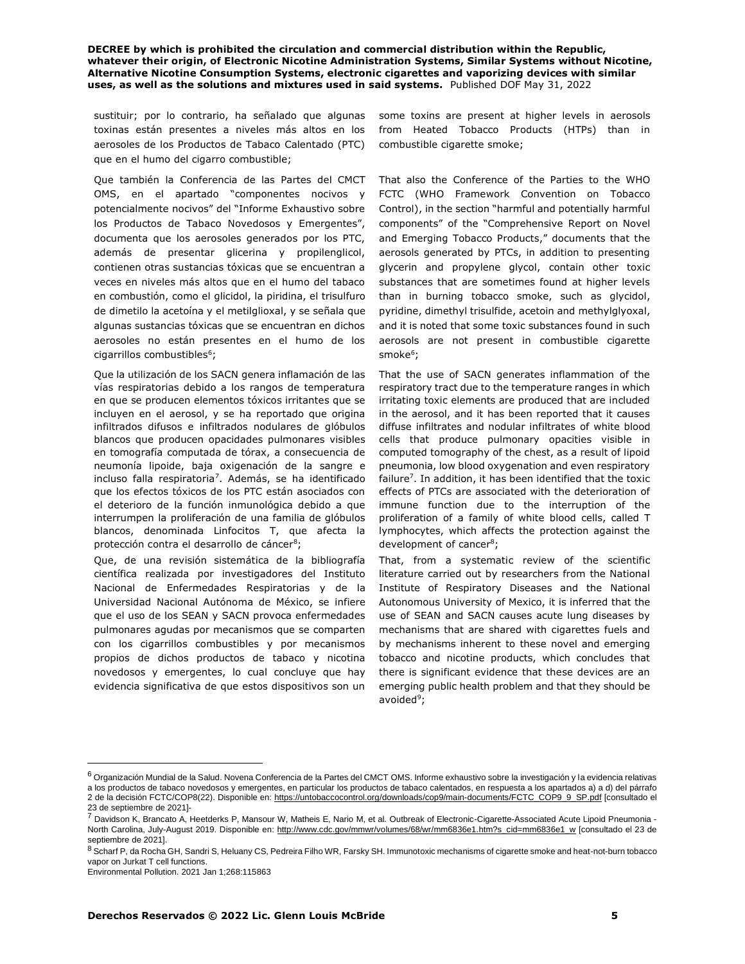sustituir; por lo contrario, ha señalado que algunas toxinas están presentes a niveles más altos en los aerosoles de los Productos de Tabaco Calentado (PTC) que en el humo del cigarro combustible;

Que también la Conferencia de las Partes del CMCT OMS, en el apartado "componentes nocivos y potencialmente nocivos" del "Informe Exhaustivo sobre los Productos de Tabaco Novedosos y Emergentes", documenta que los aerosoles generados por los PTC, además de presentar glicerina y propilenglicol, contienen otras sustancias tóxicas que se encuentran a veces en niveles más altos que en el humo del tabaco en combustión, como el glicidol, la piridina, el trisulfuro de dimetilo la acetoína y el metilglioxal, y se señala que algunas sustancias tóxicas que se encuentran en dichos aerosoles no están presentes en el humo de los cigarrillos combustibles $^6$ ;

Que la utilización de los SACN genera inflamación de las vías respiratorias debido a los rangos de temperatura en que se producen elementos tóxicos irritantes que se incluyen en el aerosol, y se ha reportado que origina infiltrados difusos e infiltrados nodulares de glóbulos blancos que producen opacidades pulmonares visibles en tomografía computada de tórax, a consecuencia de neumonía lipoide, baja oxigenación de la sangre e incluso falla respiratoria<sup>7</sup>. Además, se ha identificado que los efectos tóxicos de los PTC están asociados con el deterioro de la función inmunológica debido a que interrumpen la proliferación de una familia de glóbulos blancos, denominada Linfocitos T, que afecta la protección contra el desarrollo de cáncer<sup>8</sup>;

Que, de una revisión sistemática de la bibliografía científica realizada por investigadores del Instituto Nacional de Enfermedades Respiratorias y de la Universidad Nacional Autónoma de México, se infiere que el uso de los SEAN y SACN provoca enfermedades pulmonares agudas por mecanismos que se comparten con los cigarrillos combustibles y por mecanismos propios de dichos productos de tabaco y nicotina novedosos y emergentes, lo cual concluye que hay evidencia significativa de que estos dispositivos son un some toxins are present at higher levels in aerosols from Heated Tobacco Products (HTPs) than in combustible cigarette smoke;

That also the Conference of the Parties to the WHO FCTC (WHO Framework Convention on Tobacco Control), in the section "harmful and potentially harmful components" of the "Comprehensive Report on Novel and Emerging Tobacco Products," documents that the aerosols generated by PTCs, in addition to presenting glycerin and propylene glycol, contain other toxic substances that are sometimes found at higher levels than in burning tobacco smoke, such as glycidol, pyridine, dimethyl trisulfide, acetoin and methylglyoxal, and it is noted that some toxic substances found in such aerosols are not present in combustible cigarette smoke<sup>6</sup>;

That the use of SACN generates inflammation of the respiratory tract due to the temperature ranges in which irritating toxic elements are produced that are included in the aerosol, and it has been reported that it causes diffuse infiltrates and nodular infiltrates of white blood cells that produce pulmonary opacities visible in computed tomography of the chest, as a result of lipoid pneumonia, low blood oxygenation and even respiratory failure<sup>7</sup>. In addition, it has been identified that the toxic effects of PTCs are associated with the deterioration of immune function due to the interruption of the proliferation of a family of white blood cells, called T lymphocytes, which affects the protection against the development of cancer<sup>8</sup>;

That, from a systematic review of the scientific literature carried out by researchers from the National Institute of Respiratory Diseases and the National Autonomous University of Mexico, it is inferred that the use of SEAN and SACN causes acute lung diseases by mechanisms that are shared with cigarettes fuels and by mechanisms inherent to these novel and emerging tobacco and nicotine products, which concludes that there is significant evidence that these devices are an emerging public health problem and that they should be avoided<sup>9</sup>;

 $6$  Organización Mundial de la Salud. Novena Conferencia de la Partes del CMCT OMS. Informe exhaustivo sobre la investigación y la evidencia relativas a los productos de tabaco novedosos y emergentes, en particular los productos de tabaco calentados, en respuesta a los apartados a) a d) del párrafo 2 de la decisión FCTC/COP8(22). Disponible en: https://untobaccocontrol.org/downloads/cop9/main-documents/FCTC\_COP9\_9\_SP.pdf [consultado el 23 de septiembre de 2021]-

<sup>7</sup> Davidson K, Brancato A, Heetderks P, Mansour W, Matheis E, Nario M, et al. Outbreak of Electronic-Cigarette-Associated Acute Lipoid Pneumonia -North Carolina, July-August 2019. Disponible en: http://www.cdc.gov/mmwr/volumes/68/wr/mm6836e1.htm?s\_cid=mm6836e1\_w [consultado el 23 de septiembre de 2021].

<sup>8</sup> Scharf P, da Rocha GH, Sandri S, Heluany CS, Pedreira Filho WR, Farsky SH. Immunotoxic mechanisms of cigarette smoke and heat-not-burn tobacco vapor on Jurkat T cell functions.

Environmental Pollution. 2021 Jan 1;268:115863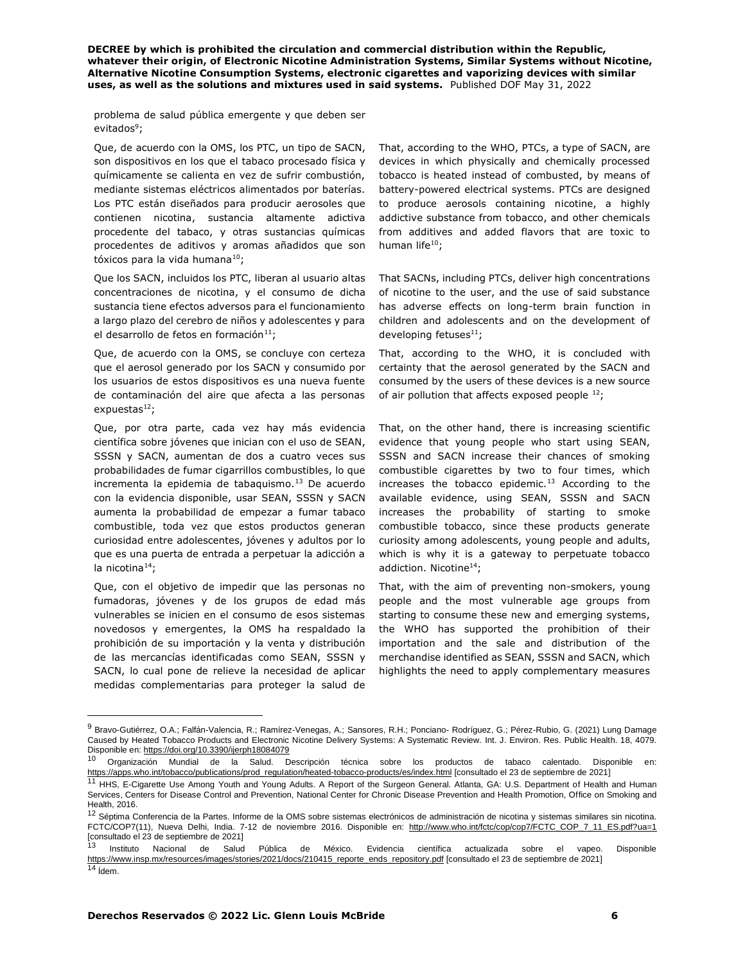problema de salud pública emergente y que deben ser evitados<sup>9</sup>;

Que, de acuerdo con la OMS, los PTC, un tipo de SACN, son dispositivos en los que el tabaco procesado física y químicamente se calienta en vez de sufrir combustión, mediante sistemas eléctricos alimentados por baterías. Los PTC están diseñados para producir aerosoles que contienen nicotina, sustancia altamente adictiva procedente del tabaco, y otras sustancias químicas procedentes de aditivos y aromas añadidos que son tóxicos para la vida humana<sup>10</sup>;

Que los SACN, incluidos los PTC, liberan al usuario altas concentraciones de nicotina, y el consumo de dicha sustancia tiene efectos adversos para el funcionamiento a largo plazo del cerebro de niños y adolescentes y para el desarrollo de fetos en formación $11$ ;

Que, de acuerdo con la OMS, se concluye con certeza que el aerosol generado por los SACN y consumido por los usuarios de estos dispositivos es una nueva fuente de contaminación del aire que afecta a las personas expuestas $^{12}$ ;

Que, por otra parte, cada vez hay más evidencia científica sobre jóvenes que inician con el uso de SEAN, SSSN y SACN, aumentan de dos a cuatro veces sus probabilidades de fumar cigarrillos combustibles, lo que incrementa la epidemia de tabaquismo. $13$  De acuerdo con la evidencia disponible, usar SEAN, SSSN y SACN aumenta la probabilidad de empezar a fumar tabaco combustible, toda vez que estos productos generan curiosidad entre adolescentes, jóvenes y adultos por lo que es una puerta de entrada a perpetuar la adicción a la nicotina $^{14}$ ;

Que, con el objetivo de impedir que las personas no fumadoras, jóvenes y de los grupos de edad más vulnerables se inicien en el consumo de esos sistemas novedosos y emergentes, la OMS ha respaldado la prohibición de su importación y la venta y distribución de las mercancías identificadas como SEAN, SSSN y SACN, lo cual pone de relieve la necesidad de aplicar medidas complementarias para proteger la salud de

That, according to the WHO, PTCs, a type of SACN, are devices in which physically and chemically processed tobacco is heated instead of combusted, by means of battery-powered electrical systems. PTCs are designed to produce aerosols containing nicotine, a highly addictive substance from tobacco, and other chemicals from additives and added flavors that are toxic to human life<sup>10</sup>;

That SACNs, including PTCs, deliver high concentrations of nicotine to the user, and the use of said substance has adverse effects on long-term brain function in children and adolescents and on the development of developing fetuses $^{11}$ ;

That, according to the WHO, it is concluded with certainty that the aerosol generated by the SACN and consumed by the users of these devices is a new source of air pollution that affects exposed people  $^{12}$ ;

That, on the other hand, there is increasing scientific evidence that young people who start using SEAN, SSSN and SACN increase their chances of smoking combustible cigarettes by two to four times, which increases the tobacco epidemic. $13$  According to the available evidence, using SEAN, SSSN and SACN increases the probability of starting to smoke combustible tobacco, since these products generate curiosity among adolescents, young people and adults, which is why it is a gateway to perpetuate tobacco addiction. Nicotine<sup>14</sup>;

That, with the aim of preventing non-smokers, young people and the most vulnerable age groups from starting to consume these new and emerging systems, the WHO has supported the prohibition of their importation and the sale and distribution of the merchandise identified as SEAN, SSSN and SACN, which highlights the need to apply complementary measures

<sup>9</sup> Bravo-Gutiérrez, O.A.; Falfán-Valencia, R.; Ramírez-Venegas, A.; Sansores, R.H.; Ponciano- Rodríguez, G.; Pérez-Rubio, G. (2021) Lung Damage Caused by Heated Tobacco Products and Electronic Nicotine Delivery Systems: A Systematic Review. Int. J. Environ. Res. Public Health. 18, 4079. Disponible en: https://doi.org/10.3390/ijerph18084079

<sup>10</sup> Organización Mundial de la Salud. Descripción técnica sobre los productos de tabaco calentado. Disponible en: <u>https://apps.who.int/tobacco/publications/prod\_regulation/heated-tobacco-products/es/index.html</u> [consultado el 23 de septiembre de 2021]<br><sup>11</sup> HHS, E-Cigarette Use Among Youth and Young Adults. A Report of the Surgeon Gen

Services, Centers for Disease Control and Prevention, National Center for Chronic Disease Prevention and Health Promotion, Office on Smoking and Health, 2016.

<sup>&</sup>lt;sup>12</sup> Séptima Conferencia de la Partes. Informe de la OMS sobre sistemas electrónicos de administración de nicotina y sistemas similares sin nicotina. FCTC/COP7(11), Nueva Delhi, India. 7-12 de noviembre 2016. Disponible en: http://www.who.int/fctc/cop/cop7/FCTC\_COP\_7\_11\_ES.pdf?ua=1 [consultado el 23 de septiembre de 2021]

<sup>13</sup> Instituto Nacional de Salud Pública de México. Evidencia científica actualizada sobre el vapeo. Disponible https://www.insp.mx/resources/images/stories/2021/docs/210415\_reporte\_ends\_repository.pdf [consultado el 23 de septiembre de 2021]  $14$  *idem.*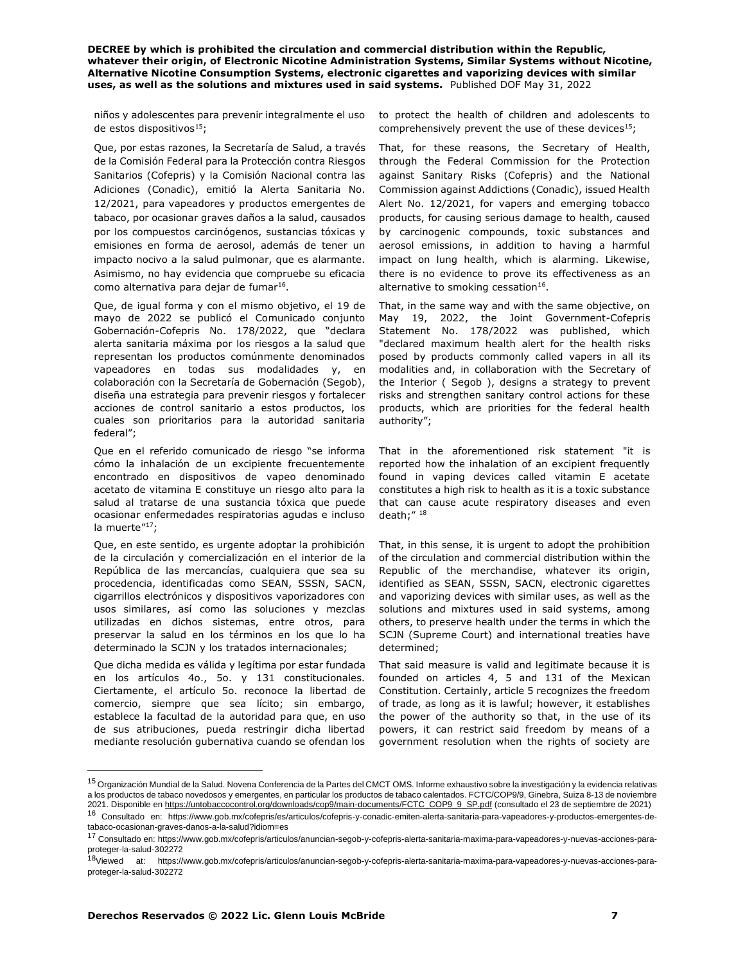niños y adolescentes para prevenir integralmente el uso de estos dispositivos $15$ ;

Que, por estas razones, la Secretaría de Salud, a través de la Comisión Federal para la Protección contra Riesgos Sanitarios (Cofepris) y la Comisión Nacional contra las Adiciones (Conadic), emitió la Alerta Sanitaria No. 12/2021, para vapeadores y productos emergentes de tabaco, por ocasionar graves daños a la salud, causados por los compuestos carcinógenos, sustancias tóxicas y emisiones en forma de aerosol, además de tener un impacto nocivo a la salud pulmonar, que es alarmante. Asimismo, no hay evidencia que compruebe su eficacia como alternativa para dejar de fumar<sup>16</sup>.

Que, de igual forma y con el mismo objetivo, el 19 de mayo de 2022 se publicó el Comunicado conjunto Gobernación-Cofepris No. 178/2022, que "declara alerta sanitaria máxima por los riesgos a la salud que representan los productos comúnmente denominados vapeadores en todas sus modalidades y, en colaboración con la Secretaría de Gobernación (Segob), diseña una estrategia para prevenir riesgos y fortalecer acciones de control sanitario a estos productos, los cuales son prioritarios para la autoridad sanitaria federal";

Que en el referido comunicado de riesgo "se informa cómo la inhalación de un excipiente frecuentemente encontrado en dispositivos de vapeo denominado acetato de vitamina E constituye un riesgo alto para la salud al tratarse de una sustancia tóxica que puede ocasionar enfermedades respiratorias agudas e incluso la muerte"<sup>17</sup>:

Que, en este sentido, es urgente adoptar la prohibición de la circulación y comercialización en el interior de la República de las mercancías, cualquiera que sea su procedencia, identificadas como SEAN, SSSN, SACN, cigarrillos electrónicos y dispositivos vaporizadores con usos similares, así como las soluciones y mezclas utilizadas en dichos sistemas, entre otros, para preservar la salud en los términos en los que lo ha determinado la SCJN y los tratados internacionales;

Que dicha medida es válida y legítima por estar fundada en los artículos 4o., 5o. y 131 constitucionales. Ciertamente, el artículo 5o. reconoce la libertad de comercio, siempre que sea lícito; sin embargo, establece la facultad de la autoridad para que, en uso de sus atribuciones, pueda restringir dicha libertad mediante resolución gubernativa cuando se ofendan los to protect the health of children and adolescents to comprehensively prevent the use of these devices $15$ ;

That, for these reasons, the Secretary of Health, through the Federal Commission for the Protection against Sanitary Risks (Cofepris) and the National Commission against Addictions (Conadic), issued Health Alert No. 12/2021, for vapers and emerging tobacco products, for causing serious damage to health, caused by carcinogenic compounds, toxic substances and aerosol emissions, in addition to having a harmful impact on lung health, which is alarming. Likewise, there is no evidence to prove its effectiveness as an alternative to smoking cessation $^{16}$ .

That, in the same way and with the same objective, on May 19, 2022, the Joint Government-Cofepris Statement No. 178/2022 was published, which "declared maximum health alert for the health risks posed by products commonly called vapers in all its modalities and, in collaboration with the Secretary of the Interior ( Segob ), designs a strategy to prevent risks and strengthen sanitary control actions for these products, which are priorities for the federal health authority";

That in the aforementioned risk statement "it is reported how the inhalation of an excipient frequently found in vaping devices called vitamin E acetate constitutes a high risk to health as it is a toxic substance that can cause acute respiratory diseases and even death;" <sup>18</sup>

That, in this sense, it is urgent to adopt the prohibition of the circulation and commercial distribution within the Republic of the merchandise, whatever its origin, identified as SEAN, SSSN, SACN, electronic cigarettes and vaporizing devices with similar uses, as well as the solutions and mixtures used in said systems, among others, to preserve health under the terms in which the SCJN (Supreme Court) and international treaties have determined;

That said measure is valid and legitimate because it is founded on articles 4, 5 and 131 of the Mexican Constitution. Certainly, article 5 recognizes the freedom of trade, as long as it is lawful; however, it establishes the power of the authority so that, in the use of its powers, it can restrict said freedom by means of a government resolution when the rights of society are

<sup>&</sup>lt;sup>15</sup> Organización Mundial de la Salud. Novena Conferencia de la Partes del CMCT OMS. Informe exhaustivo sobre la investigación y la evidencia relativas a los productos de tabaco novedosos y emergentes, en particular los productos de tabaco calentados. FCTC/COP9/9, Ginebra, Suiza 8-13 de noviembre 2021. Disponible en https://untobaccocontrol.org/downloads/cop9/main-documents/FCTC\_COP9\_9\_SP.pdf (consultado el 23 de septiembre de 2021)

<sup>16</sup> Consultado en: https://www.gob.mx/cofepris/es/articulos/cofepris-y-conadic-emiten-alerta-sanitaria-para-vapeadores-y-productos-emergentes-detabaco-ocasionan-graves-danos-a-la-salud?idiom=es

<sup>17</sup> Consultado en: https://www.gob.mx/cofepris/articulos/anuncian-segob-y-cofepris-alerta-sanitaria-maxima-para-vapeadores-y-nuevas-acciones-paraproteger-la-salud-302272

<sup>18</sup>Viewed at: https://www.gob.mx/cofepris/articulos/anuncian-segob-y-cofepris-alerta-sanitaria-maxima-para-vapeadores-y-nuevas-acciones-paraproteger-la-salud-302272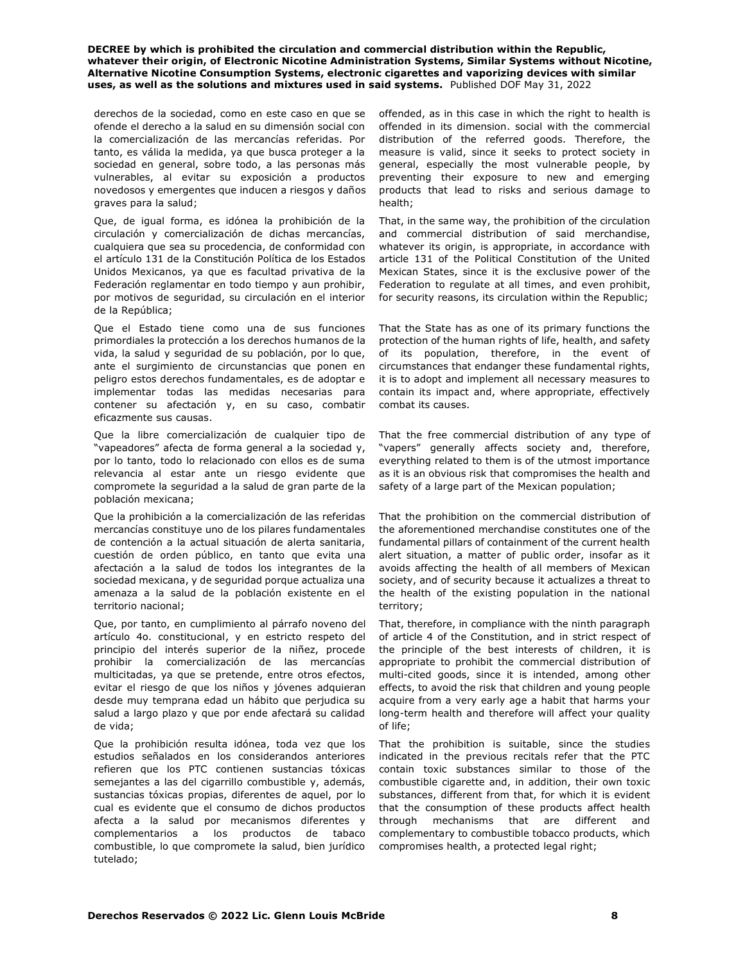derechos de la sociedad, como en este caso en que se ofende el derecho a la salud en su dimensión social con la comercialización de las mercancías referidas. Por tanto, es válida la medida, ya que busca proteger a la sociedad en general, sobre todo, a las personas más vulnerables, al evitar su exposición a productos novedosos y emergentes que inducen a riesgos y daños graves para la salud;

Que, de igual forma, es idónea la prohibición de la circulación y comercialización de dichas mercancías, cualquiera que sea su procedencia, de conformidad con el artículo 131 de la Constitución Política de los Estados Unidos Mexicanos, ya que es facultad privativa de la Federación reglamentar en todo tiempo y aun prohibir, por motivos de seguridad, su circulación en el interior de la República;

Que el Estado tiene como una de sus funciones primordiales la protección a los derechos humanos de la vida, la salud y seguridad de su población, por lo que, ante el surgimiento de circunstancias que ponen en peligro estos derechos fundamentales, es de adoptar e implementar todas las medidas necesarias para contener su afectación y, en su caso, combatir eficazmente sus causas.

Que la libre comercialización de cualquier tipo de "vapeadores" afecta de forma general a la sociedad y, por lo tanto, todo lo relacionado con ellos es de suma relevancia al estar ante un riesgo evidente que compromete la seguridad a la salud de gran parte de la población mexicana;

Que la prohibición a la comercialización de las referidas mercancías constituye uno de los pilares fundamentales de contención a la actual situación de alerta sanitaria, cuestión de orden público, en tanto que evita una afectación a la salud de todos los integrantes de la sociedad mexicana, y de seguridad porque actualiza una amenaza a la salud de la población existente en el territorio nacional;

Que, por tanto, en cumplimiento al párrafo noveno del artículo 4o. constitucional, y en estricto respeto del principio del interés superior de la niñez, procede prohibir la comercialización de las mercancías multicitadas, ya que se pretende, entre otros efectos, evitar el riesgo de que los niños y jóvenes adquieran desde muy temprana edad un hábito que perjudica su salud a largo plazo y que por ende afectará su calidad de vida;

Que la prohibición resulta idónea, toda vez que los estudios señalados en los considerandos anteriores refieren que los PTC contienen sustancias tóxicas semejantes a las del cigarrillo combustible y, además, sustancias tóxicas propias, diferentes de aquel, por lo cual es evidente que el consumo de dichos productos afecta a la salud por mecanismos diferentes y complementarios a los productos de tabaco combustible, lo que compromete la salud, bien jurídico tutelado;

offended, as in this case in which the right to health is offended in its dimension. social with the commercial distribution of the referred goods. Therefore, the measure is valid, since it seeks to protect society in general, especially the most vulnerable people, by preventing their exposure to new and emerging products that lead to risks and serious damage to health;

That, in the same way, the prohibition of the circulation and commercial distribution of said merchandise, whatever its origin, is appropriate, in accordance with article 131 of the Political Constitution of the United Mexican States, since it is the exclusive power of the Federation to regulate at all times, and even prohibit, for security reasons, its circulation within the Republic;

That the State has as one of its primary functions the protection of the human rights of life, health, and safety of its population, therefore, in the event of circumstances that endanger these fundamental rights, it is to adopt and implement all necessary measures to contain its impact and, where appropriate, effectively combat its causes.

That the free commercial distribution of any type of "vapers" generally affects society and, therefore, everything related to them is of the utmost importance as it is an obvious risk that compromises the health and safety of a large part of the Mexican population;

That the prohibition on the commercial distribution of the aforementioned merchandise constitutes one of the fundamental pillars of containment of the current health alert situation, a matter of public order, insofar as it avoids affecting the health of all members of Mexican society, and of security because it actualizes a threat to the health of the existing population in the national territory;

That, therefore, in compliance with the ninth paragraph of article 4 of the Constitution, and in strict respect of the principle of the best interests of children, it is appropriate to prohibit the commercial distribution of multi-cited goods, since it is intended, among other effects, to avoid the risk that children and young people acquire from a very early age a habit that harms your long-term health and therefore will affect your quality of life;

That the prohibition is suitable, since the studies indicated in the previous recitals refer that the PTC contain toxic substances similar to those of the combustible cigarette and, in addition, their own toxic substances, different from that, for which it is evident that the consumption of these products affect health through mechanisms that are different and complementary to combustible tobacco products, which compromises health, a protected legal right;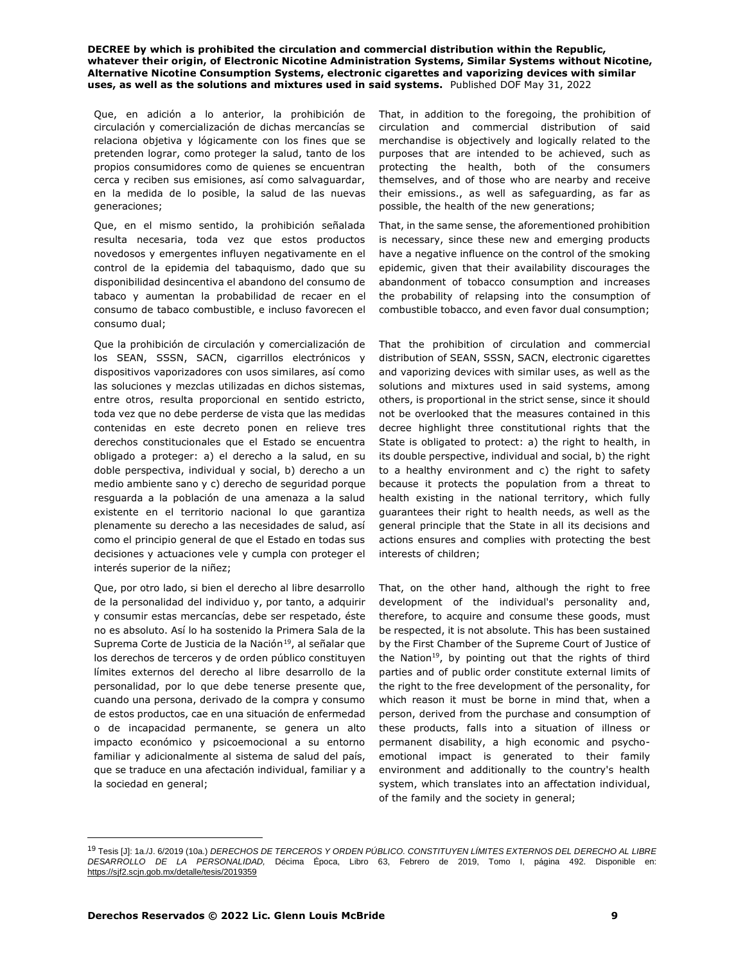Que, en adición a lo anterior, la prohibición de circulación y comercialización de dichas mercancías se relaciona objetiva y lógicamente con los fines que se pretenden lograr, como proteger la salud, tanto de los propios consumidores como de quienes se encuentran cerca y reciben sus emisiones, así como salvaguardar, en la medida de lo posible, la salud de las nuevas generaciones;

Que, en el mismo sentido, la prohibición señalada resulta necesaria, toda vez que estos productos novedosos y emergentes influyen negativamente en el control de la epidemia del tabaquismo, dado que su disponibilidad desincentiva el abandono del consumo de tabaco y aumentan la probabilidad de recaer en el consumo de tabaco combustible, e incluso favorecen el consumo dual;

Que la prohibición de circulación y comercialización de los SEAN, SSSN, SACN, cigarrillos electrónicos y dispositivos vaporizadores con usos similares, así como las soluciones y mezclas utilizadas en dichos sistemas, entre otros, resulta proporcional en sentido estricto, toda vez que no debe perderse de vista que las medidas contenidas en este decreto ponen en relieve tres derechos constitucionales que el Estado se encuentra obligado a proteger: a) el derecho a la salud, en su doble perspectiva, individual y social, b) derecho a un medio ambiente sano y c) derecho de seguridad porque resguarda a la población de una amenaza a la salud existente en el territorio nacional lo que garantiza plenamente su derecho a las necesidades de salud, así como el principio general de que el Estado en todas sus decisiones y actuaciones vele y cumpla con proteger el interés superior de la niñez;

Que, por otro lado, si bien el derecho al libre desarrollo de la personalidad del individuo y, por tanto, a adquirir y consumir estas mercancías, debe ser respetado, éste no es absoluto. Así lo ha sostenido la Primera Sala de la Suprema Corte de Justicia de la Nación<sup>19</sup>, al señalar que los derechos de terceros y de orden público constituyen límites externos del derecho al libre desarrollo de la personalidad, por lo que debe tenerse presente que, cuando una persona, derivado de la compra y consumo de estos productos, cae en una situación de enfermedad o de incapacidad permanente, se genera un alto impacto económico y psicoemocional a su entorno familiar y adicionalmente al sistema de salud del país, que se traduce en una afectación individual, familiar y a la sociedad en general;

That, in addition to the foregoing, the prohibition of circulation and commercial distribution of said merchandise is objectively and logically related to the purposes that are intended to be achieved, such as protecting the health, both of the consumers themselves, and of those who are nearby and receive their emissions., as well as safeguarding, as far as possible, the health of the new generations;

That, in the same sense, the aforementioned prohibition is necessary, since these new and emerging products have a negative influence on the control of the smoking epidemic, given that their availability discourages the abandonment of tobacco consumption and increases the probability of relapsing into the consumption of combustible tobacco, and even favor dual consumption;

That the prohibition of circulation and commercial distribution of SEAN, SSSN, SACN, electronic cigarettes and vaporizing devices with similar uses, as well as the solutions and mixtures used in said systems, among others, is proportional in the strict sense, since it should not be overlooked that the measures contained in this decree highlight three constitutional rights that the State is obligated to protect: a) the right to health, in its double perspective, individual and social, b) the right to a healthy environment and c) the right to safety because it protects the population from a threat to health existing in the national territory, which fully guarantees their right to health needs, as well as the general principle that the State in all its decisions and actions ensures and complies with protecting the best interests of children;

That, on the other hand, although the right to free development of the individual's personality and, therefore, to acquire and consume these goods, must be respected, it is not absolute. This has been sustained by the First Chamber of the Supreme Court of Justice of the Nation<sup>19</sup>, by pointing out that the rights of third parties and of public order constitute external limits of the right to the free development of the personality, for which reason it must be borne in mind that, when a person, derived from the purchase and consumption of these products, falls into a situation of illness or permanent disability, a high economic and psychoemotional impact is generated to their family environment and additionally to the country's health system, which translates into an affectation individual, of the family and the society in general;

<sup>19</sup> Tesis [J]: 1a./J. 6/2019 (10a.) *DERECHOS DE TERCEROS Y ORDEN PÚBLICO. CONSTITUYEN LÍMITES EXTERNOS DEL DERECHO AL LIBRE DESARROLLO DE LA PERSONALIDAD,* Décima Época, Libro 63, Febrero de 2019, Tomo I, página 492. Disponible en: https://sjf2.scjn.gob.mx/detalle/tesis/2019359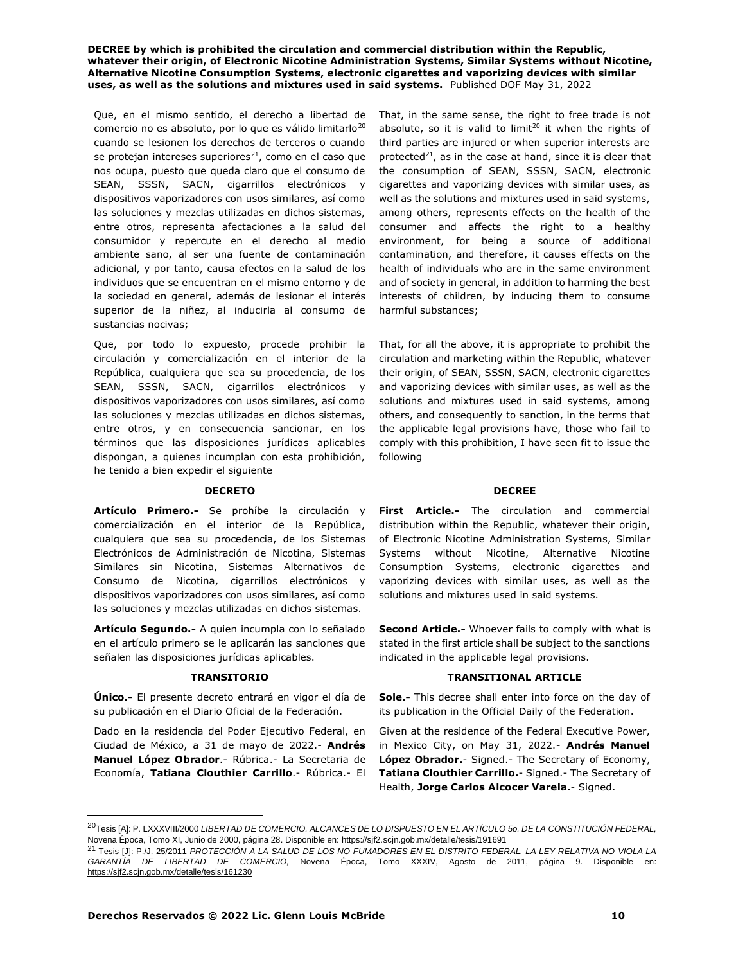Que, en el mismo sentido, el derecho a libertad de comercio no es absoluto, por lo que es válido limitarlo<sup>20</sup> cuando se lesionen los derechos de terceros o cuando se protejan intereses superiores $21$ , como en el caso que nos ocupa, puesto que queda claro que el consumo de SEAN, SSSN, SACN, cigarrillos electrónicos y dispositivos vaporizadores con usos similares, así como las soluciones y mezclas utilizadas en dichos sistemas, entre otros, representa afectaciones a la salud del consumidor y repercute en el derecho al medio ambiente sano, al ser una fuente de contaminación adicional, y por tanto, causa efectos en la salud de los individuos que se encuentran en el mismo entorno y de la sociedad en general, además de lesionar el interés superior de la niñez, al inducirla al consumo de sustancias nocivas;

Que, por todo lo expuesto, procede prohibir la circulación y comercialización en el interior de la República, cualquiera que sea su procedencia, de los SEAN, SSSN, SACN, cigarrillos electrónicos y dispositivos vaporizadores con usos similares, así como las soluciones y mezclas utilizadas en dichos sistemas, entre otros, y en consecuencia sancionar, en los términos que las disposiciones jurídicas aplicables dispongan, a quienes incumplan con esta prohibición, he tenido a bien expedir el siguiente

## **DECRETO DECREE**

**Artículo Primero.-** Se prohíbe la circulación y comercialización en el interior de la República, cualquiera que sea su procedencia, de los Sistemas Electrónicos de Administración de Nicotina, Sistemas Similares sin Nicotina, Sistemas Alternativos de Consumo de Nicotina, cigarrillos electrónicos y dispositivos vaporizadores con usos similares, así como las soluciones y mezclas utilizadas en dichos sistemas.

**Artículo Segundo.-** A quien incumpla con lo señalado en el artículo primero se le aplicarán las sanciones que señalen las disposiciones jurídicas aplicables.

**Único.-** El presente decreto entrará en vigor el día de su publicación en el Diario Oficial de la Federación.

Dado en la residencia del Poder Ejecutivo Federal, en Ciudad de México, a 31 de mayo de 2022.- **Andrés Manuel López Obrador**.- Rúbrica.- La Secretaria de Economía, **Tatiana Clouthier Carrillo**.- Rúbrica.- El That, in the same sense, the right to free trade is not absolute, so it is valid to limit<sup>20</sup> it when the rights of third parties are injured or when superior interests are protected<sup>21</sup>, as in the case at hand, since it is clear that the consumption of SEAN, SSSN, SACN, electronic cigarettes and vaporizing devices with similar uses, as well as the solutions and mixtures used in said systems, among others, represents effects on the health of the consumer and affects the right to a healthy environment, for being a source of additional contamination, and therefore, it causes effects on the health of individuals who are in the same environment and of society in general, in addition to harming the best interests of children, by inducing them to consume harmful substances;

That, for all the above, it is appropriate to prohibit the circulation and marketing within the Republic, whatever their origin, of SEAN, SSSN, SACN, electronic cigarettes and vaporizing devices with similar uses, as well as the solutions and mixtures used in said systems, among others, and consequently to sanction, in the terms that the applicable legal provisions have, those who fail to comply with this prohibition, I have seen fit to issue the following

**First Article.-** The circulation and commercial distribution within the Republic, whatever their origin, of Electronic Nicotine Administration Systems, Similar Systems without Nicotine, Alternative Nicotine Consumption Systems, electronic cigarettes and vaporizing devices with similar uses, as well as the solutions and mixtures used in said systems.

**Second Article.-** Whoever fails to comply with what is stated in the first article shall be subject to the sanctions indicated in the applicable legal provisions.

# **TRANSITORIO TRANSITIONAL ARTICLE**

**Sole.-** This decree shall enter into force on the day of its publication in the Official Daily of the Federation.

Given at the residence of the Federal Executive Power, in Mexico City, on May 31, 2022.- **Andrés Manuel López Obrador.**- Signed.- The Secretary of Economy, **Tatiana Clouthier Carrillo.**- Signed.- The Secretary of Health, **Jorge Carlos Alcocer Varela.**- Signed.

<sup>20</sup>Tesis [A]: P. LXXXVIII/2000 *LIBERTAD DE COMERCIO. ALCANCES DE LO DISPUESTO EN EL ARTÍCULO 5o. DE LA CONSTITUCIÓN FEDERAL,*  Novena Época, Tomo XI, Junio de 2000, página 28. Disponible en: https://sjf2.scjn.gob.mx/detalle/tesis/191691

<sup>21</sup> Tesis [J]: P./J. 25/2011 *PROTECCIÓN A LA SALUD DE LOS NO FUMADORES EN EL DISTRITO FEDERAL. LA LEY RELATIVA NO VIOLA LA GARANTÍA DE LIBERTAD DE COMERCIO,* Novena Época, Tomo XXXIV, Agosto de 2011, página 9. Disponible en: https://sjf2.scjn.gob.mx/detalle/tesis/161230